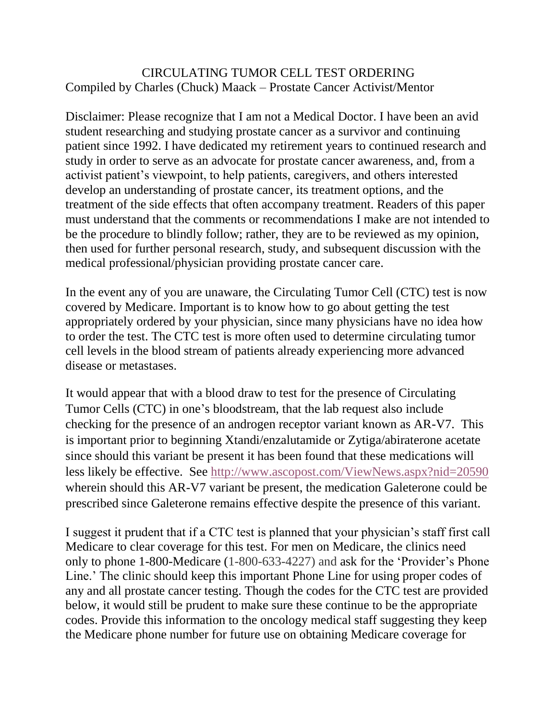## CIRCULATING TUMOR CELL TEST ORDERING Compiled by Charles (Chuck) Maack – Prostate Cancer Activist/Mentor

Disclaimer: Please recognize that I am not a Medical Doctor. I have been an avid student researching and studying prostate cancer as a survivor and continuing patient since 1992. I have dedicated my retirement years to continued research and study in order to serve as an advocate for prostate cancer awareness, and, from a activist patient's viewpoint, to help patients, caregivers, and others interested develop an understanding of prostate cancer, its treatment options, and the treatment of the side effects that often accompany treatment. Readers of this paper must understand that the comments or recommendations I make are not intended to be the procedure to blindly follow; rather, they are to be reviewed as my opinion, then used for further personal research, study, and subsequent discussion with the medical professional/physician providing prostate cancer care.

In the event any of you are unaware, the Circulating Tumor Cell (CTC) test is now covered by Medicare. Important is to know how to go about getting the test appropriately ordered by your physician, since many physicians have no idea how to order the test. The CTC test is more often used to determine circulating tumor cell levels in the blood stream of patients already experiencing more advanced disease or metastases.

It would appear that with a blood draw to test for the presence of Circulating Tumor Cells (CTC) in one's bloodstream, that the lab request also include checking for the presence of an androgen receptor variant known as AR-V7. This is important prior to beginning Xtandi/enzalutamide or Zytiga/abiraterone acetate since should this variant be present it has been found that these medications will less likely be effective. See<http://www.ascopost.com/ViewNews.aspx?nid=20590> wherein should this AR-V7 variant be present, the medication Galeterone could be prescribed since Galeterone remains effective despite the presence of this variant.

I suggest it prudent that if a CTC test is planned that your physician's staff first call Medicare to clear coverage for this test. For men on Medicare, the clinics need only to phone 1-800-Medicare (1-800-633-4227) and ask for the 'Provider's Phone Line.' The clinic should keep this important Phone Line for using proper codes of any and all prostate cancer testing. Though the codes for the CTC test are provided below, it would still be prudent to make sure these continue to be the appropriate codes. Provide this information to the oncology medical staff suggesting they keep the Medicare phone number for future use on obtaining Medicare coverage for